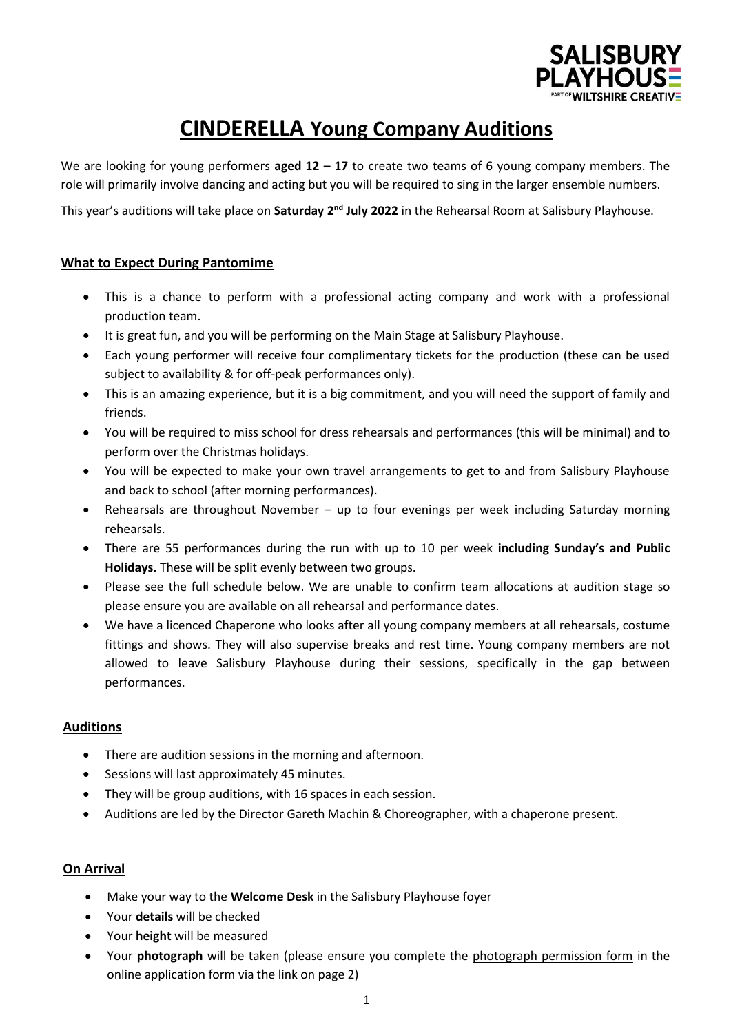

## **CINDERELLA Young Company Auditions**

We are looking for young performers **aged 12 – 17** to create two teams of 6 young company members. The role will primarily involve dancing and acting but you will be required to sing in the larger ensemble numbers.

This year's auditions will take place on **Saturday 2<sup>nd</sup> July 2022** in the Rehearsal Room at Salisbury Playhouse.

#### **What to Expect During Pantomime**

- This is a chance to perform with a professional acting company and work with a professional production team.
- It is great fun, and you will be performing on the Main Stage at Salisbury Playhouse.
- Each young performer will receive four complimentary tickets for the production (these can be used subject to availability & for off-peak performances only).
- This is an amazing experience, but it is a big commitment, and you will need the support of family and friends.
- You will be required to miss school for dress rehearsals and performances (this will be minimal) and to perform over the Christmas holidays.
- You will be expected to make your own travel arrangements to get to and from Salisbury Playhouse and back to school (after morning performances).
- Rehearsals are throughout November up to four evenings per week including Saturday morning rehearsals.
- There are 55 performances during the run with up to 10 per week **including Sunday's and Public Holidays.** These will be split evenly between two groups.
- Please see the full schedule below. We are unable to confirm team allocations at audition stage so please ensure you are available on all rehearsal and performance dates.
- We have a licenced Chaperone who looks after all young company members at all rehearsals, costume fittings and shows. They will also supervise breaks and rest time. Young company members are not allowed to leave Salisbury Playhouse during their sessions, specifically in the gap between performances.

#### **Auditions**

- There are audition sessions in the morning and afternoon.
- Sessions will last approximately 45 minutes.
- They will be group auditions, with 16 spaces in each session.
- Auditions are led by the Director Gareth Machin & Choreographer, with a chaperone present.

#### **On Arrival**

- Make your way to the **Welcome Desk** in the Salisbury Playhouse foyer
- Your **details** will be checked
- Your **height** will be measured
- Your **photograph** will be taken (please ensure you complete the photograph permission form in the online application form via the link on page 2)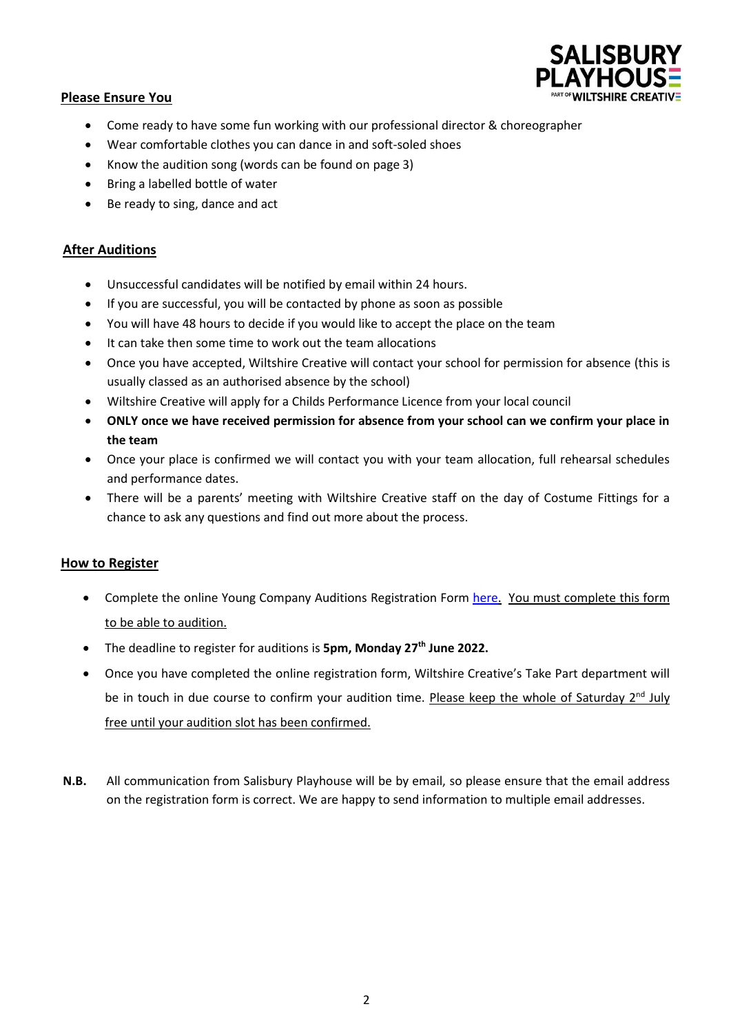

#### **Please Ensure You**

- Come ready to have some fun working with our professional director & choreographer
- Wear comfortable clothes you can dance in and soft-soled shoes
- Know the audition song (words can be found on page 3)
- Bring a labelled bottle of water
- Be ready to sing, dance and act

#### **After Auditions**

- Unsuccessful candidates will be notified by email within 24 hours.
- If you are successful, you will be contacted by phone as soon as possible
- You will have 48 hours to decide if you would like to accept the place on the team
- It can take then some time to work out the team allocations
- Once you have accepted, Wiltshire Creative will contact your school for permission for absence (this is usually classed as an authorised absence by the school)
- Wiltshire Creative will apply for a Childs Performance Licence from your local council
- **ONLY once we have received permission for absence from your school can we confirm your place in the team**
- Once your place is confirmed we will contact you with your team allocation, full rehearsal schedules and performance dates.
- There will be a parents' meeting with Wiltshire Creative staff on the day of Costume Fittings for a chance to ask any questions and find out more about the process.

#### **How to Register**

- Complete the online Young Company Auditions Registration Form [here.](https://www.surveymonkey.co.uk/r/CINDERELLAAUDITION) You must complete this form to be able to audition.
- The deadline to register for auditions is **5pm, Monday 27th June 2022.**
- Once you have completed the online registration form, Wiltshire Creative's Take Part department will be in touch in due course to confirm your audition time. Please keep the whole of Saturday  $2^{nd}$  July free until your audition slot has been confirmed.
- **N.B.** All communication from Salisbury Playhouse will be by email, so please ensure that the email address on the registration form is correct. We are happy to send information to multiple email addresses.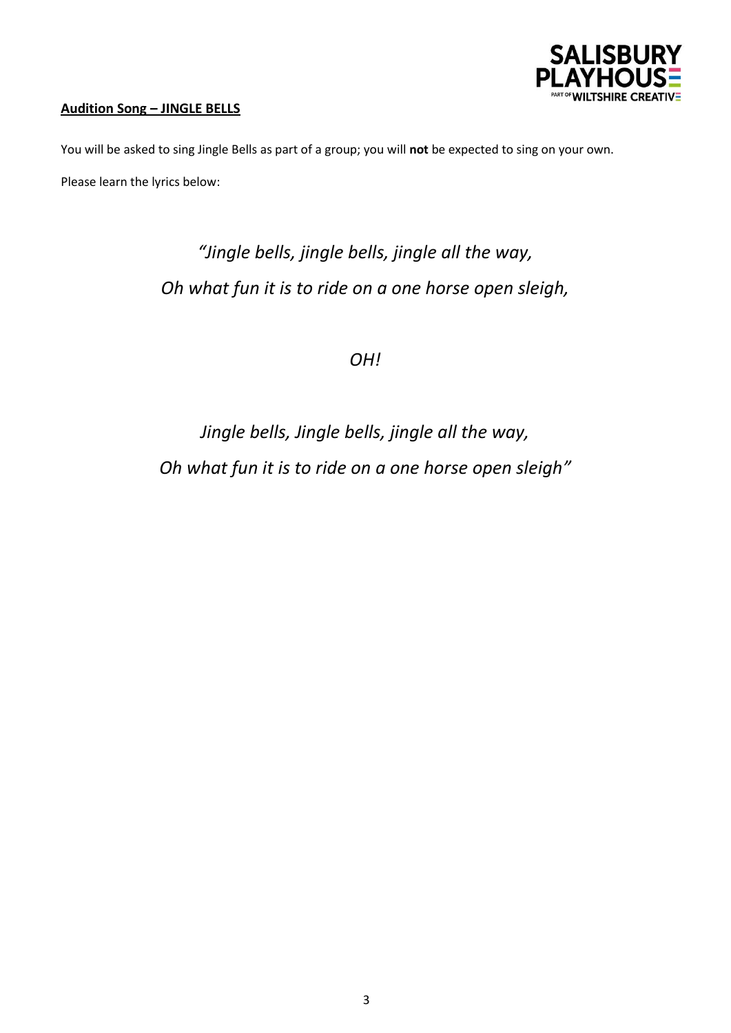

### **Audition Song – JINGLE BELLS**

You will be asked to sing Jingle Bells as part of a group; you will **not** be expected to sing on your own.

Please learn the lyrics below:

# *"Jingle bells, jingle bells, jingle all the way, Oh what fun it is to ride on a one horse open sleigh,*

*OH!*

# *Jingle bells, Jingle bells, jingle all the way, Oh what fun it is to ride on a one horse open sleigh"*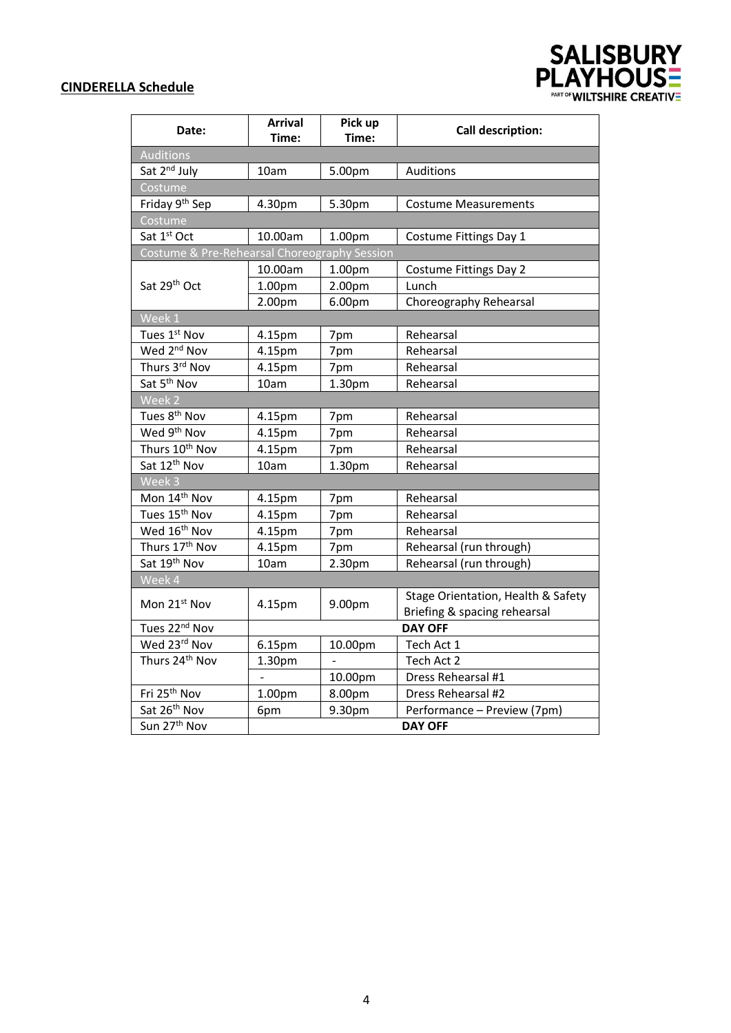### **CINDERELLA Schedule**

| Date:                                        | <b>Arrival</b><br>Time: | Pick up<br>Time: | <b>Call description:</b>                                           |  |  |  |
|----------------------------------------------|-------------------------|------------------|--------------------------------------------------------------------|--|--|--|
| <b>Auditions</b>                             |                         |                  |                                                                    |  |  |  |
| Sat 2 <sup>nd</sup> July                     | 10am                    | 5.00pm           | Auditions                                                          |  |  |  |
| Costume                                      |                         |                  |                                                                    |  |  |  |
| Friday 9 <sup>th</sup> Sep                   | 4.30pm                  | 5.30pm           | <b>Costume Measurements</b>                                        |  |  |  |
| Costume                                      |                         |                  |                                                                    |  |  |  |
| Sat 1st Oct                                  | 10.00am                 | 1.00pm           | Costume Fittings Day 1                                             |  |  |  |
| Costume & Pre-Rehearsal Choreography Session |                         |                  |                                                                    |  |  |  |
|                                              | 10.00am                 | 1.00pm           | <b>Costume Fittings Day 2</b>                                      |  |  |  |
| Sat 29th Oct                                 | 1.00pm                  | 2.00pm           | Lunch                                                              |  |  |  |
|                                              | 2.00pm                  | 6.00pm           | Choreography Rehearsal                                             |  |  |  |
| Week 1                                       |                         |                  |                                                                    |  |  |  |
| Tues 1st Nov                                 | 4.15pm                  | 7pm              | Rehearsal                                                          |  |  |  |
| Wed 2 <sup>nd</sup> Nov                      | 4.15pm                  | 7pm              | Rehearsal                                                          |  |  |  |
| Thurs 3rd Nov                                | 4.15pm                  | 7pm              | Rehearsal                                                          |  |  |  |
| Sat 5 <sup>th</sup> Nov                      | 10am                    | 1.30pm           | Rehearsal                                                          |  |  |  |
| Week 2                                       |                         |                  |                                                                    |  |  |  |
| Tues 8 <sup>th</sup> Nov                     | 4.15pm                  | 7pm              | Rehearsal                                                          |  |  |  |
| Wed 9 <sup>th</sup> Nov                      | 4.15pm                  | 7pm              | Rehearsal                                                          |  |  |  |
| Thurs 10 <sup>th</sup> Nov                   | 4.15pm                  | 7pm              | Rehearsal                                                          |  |  |  |
| Sat 12 <sup>th</sup> Nov                     | 10am                    | 1.30pm           | Rehearsal                                                          |  |  |  |
| Week 3                                       |                         |                  |                                                                    |  |  |  |
| Mon 14th Nov                                 | 4.15pm                  | 7pm              | Rehearsal                                                          |  |  |  |
| Tues 15 <sup>th</sup> Nov                    | 4.15pm                  | 7pm              | Rehearsal                                                          |  |  |  |
| Wed 16 <sup>th</sup> Nov                     | 4.15pm                  | 7pm              | Rehearsal                                                          |  |  |  |
| Thurs 17 <sup>th</sup> Nov                   | 4.15pm                  | 7pm              | Rehearsal (run through)                                            |  |  |  |
| Sat 19 <sup>th</sup> Nov                     | 10am                    | 2.30pm           | Rehearsal (run through)                                            |  |  |  |
| Week 4                                       |                         |                  |                                                                    |  |  |  |
| Mon 21st Nov                                 | 4.15pm                  | 9.00pm           | Stage Orientation, Health & Safety<br>Briefing & spacing rehearsal |  |  |  |
| Tues 22 <sup>nd</sup> Nov                    |                         |                  | <b>DAY OFF</b>                                                     |  |  |  |
| Wed 23rd Nov                                 | 6.15pm                  | 10.00pm          | Tech Act 1                                                         |  |  |  |
| Thurs 24th Nov                               | 1.30pm                  |                  | Tech Act 2                                                         |  |  |  |
|                                              |                         | 10.00pm          | Dress Rehearsal #1                                                 |  |  |  |
| Fri 25 <sup>th</sup> Nov                     | 1.00pm                  | 8.00pm           | Dress Rehearsal #2                                                 |  |  |  |
| Sat 26th Nov                                 | 6pm                     | 9.30pm           | Performance - Preview (7pm)                                        |  |  |  |
| Sun 27 <sup>th</sup> Nov                     |                         |                  | <b>DAY OFF</b>                                                     |  |  |  |

SALISBURY<br>PLAYHOUSE<br>WILTSHIRE CREATIVE

4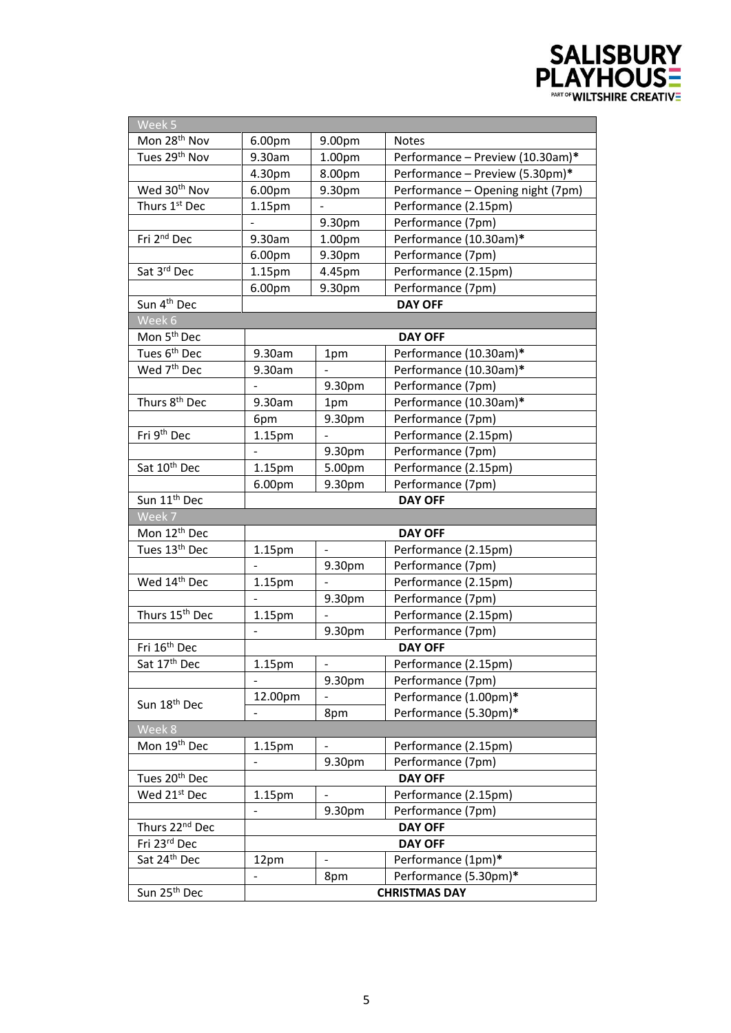

| Week 5                     |                              |                    |                                   |  |
|----------------------------|------------------------------|--------------------|-----------------------------------|--|
| Mon 28 <sup>th</sup> Nov   | 6.00pm                       | 9.00pm             | <b>Notes</b>                      |  |
| Tues 29 <sup>th</sup> Nov  | 9.30am                       | 1.00pm             | Performance - Preview (10.30am)*  |  |
|                            | 4.30pm                       | 8.00pm             | Performance - Preview (5.30pm)*   |  |
| Wed 30 <sup>th</sup> Nov   | 6.00pm                       | 9.30pm             | Performance - Opening night (7pm) |  |
| Thurs 1st Dec              | 1.15 <sub>pm</sub>           | $\blacksquare$     | Performance (2.15pm)              |  |
|                            |                              | 9.30pm             | Performance (7pm)                 |  |
| Fri 2 <sup>nd</sup> Dec    | 9.30am                       | 1.00 <sub>pm</sub> | Performance (10.30am)*            |  |
|                            | 6.00pm                       | 9.30pm             | Performance (7pm)                 |  |
| Sat 3rd Dec                | 1.15pm                       | 4.45pm             | Performance (2.15pm)              |  |
|                            | 6.00pm                       | 9.30pm             | Performance (7pm)                 |  |
| Sun 4 <sup>th</sup> Dec    |                              |                    | <b>DAY OFF</b>                    |  |
| Week 6                     |                              |                    |                                   |  |
| Mon 5 <sup>th</sup> Dec    |                              |                    | <b>DAY OFF</b>                    |  |
| Tues 6 <sup>th</sup> Dec   | 9.30am                       | 1pm                | Performance (10.30am)*            |  |
| Wed 7 <sup>th</sup> Dec    | 9.30am                       | $\overline{a}$     | Performance (10.30am)*            |  |
|                            |                              | 9.30pm             | Performance (7pm)                 |  |
| Thurs 8 <sup>th</sup> Dec  | 9.30am                       | 1pm                | Performance (10.30am)*            |  |
|                            | 6pm                          | 9.30pm             | Performance (7pm)                 |  |
| Fri 9 <sup>th</sup> Dec    | 1.15pm                       | $\overline{a}$     | Performance (2.15pm)              |  |
|                            |                              | 9.30pm             | Performance (7pm)                 |  |
| Sat 10th Dec               | 1.15 <sub>pm</sub>           | 5.00pm             | Performance (2.15pm)              |  |
|                            | 6.00pm                       | 9.30pm             | Performance (7pm)                 |  |
| Sun 11 <sup>th</sup> Dec   |                              |                    | <b>DAY OFF</b>                    |  |
| Week 7                     |                              |                    |                                   |  |
| Mon 12 <sup>th</sup> Dec   |                              |                    | <b>DAY OFF</b>                    |  |
| Tues 13th Dec              | 1.15pm                       |                    | Performance (2.15pm)              |  |
|                            |                              | 9.30pm             | Performance (7pm)                 |  |
| Wed 14th Dec               | 1.15pm                       |                    | Performance (2.15pm)              |  |
|                            | $\frac{1}{2}$                | 9.30pm             | Performance (7pm)                 |  |
| Thurs 15 <sup>th</sup> Dec | 1.15pm                       |                    | Performance (2.15pm)              |  |
|                            | $\qquad \qquad -$            | 9.30pm             | Performance (7pm)                 |  |
| Fri 16 <sup>th</sup> Dec   |                              | <b>DAY OFF</b>     |                                   |  |
| Sat 17th Dec               | 1.15pm                       |                    | Performance (2.15pm)              |  |
|                            |                              | 9.30pm             | Performance (7pm)                 |  |
| Sun 18 <sup>th</sup> Dec   | 12.00pm                      |                    | Performance (1.00pm)*             |  |
|                            | $\qquad \qquad \blacksquare$ | 8pm                | Performance (5.30pm)*             |  |
| Week 8                     |                              |                    |                                   |  |
| Mon 19 <sup>th</sup> Dec   | 1.15pm                       |                    | Performance (2.15pm)              |  |
|                            |                              | 9.30pm             | Performance (7pm)                 |  |
| Tues 20 <sup>th</sup> Dec  |                              |                    | <b>DAY OFF</b>                    |  |
| Wed 21st Dec               | 1.15 <sub>pm</sub>           |                    | Performance (2.15pm)              |  |
|                            |                              | 9.30pm             | Performance (7pm)                 |  |
| Thurs 22nd Dec             |                              | <b>DAY OFF</b>     |                                   |  |
| Fri 23rd Dec               |                              | <b>DAY OFF</b>     |                                   |  |
| Sat 24th Dec               | 12pm                         |                    | Performance (1pm)*                |  |
|                            |                              | 8pm                | Performance (5.30pm)*             |  |
| Sun 25 <sup>th</sup> Dec   |                              |                    | <b>CHRISTMAS DAY</b>              |  |